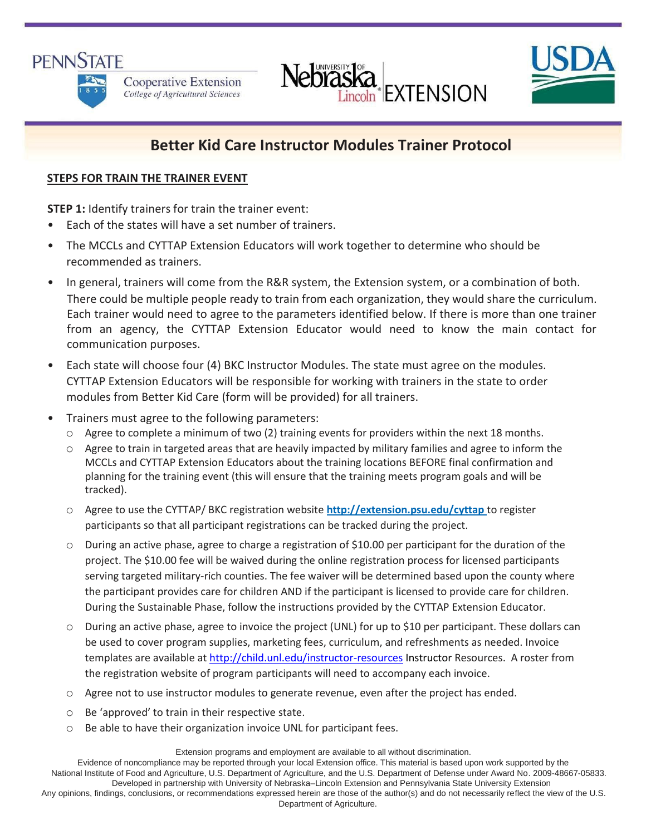# **PENNSTATE**



Cooperative Extension College of Agricultural Sciences





# **Better Kid Care Instructor Modules Trainer Protocol**

# **STEPS FOR TRAIN THE TRAINER EVENT**

**STEP 1:** Identify trainers for train the trainer event:

- Each of the states will have a set number of trainers.
- The MCCLs and CYTTAP Extension Educators will work together to determine who should be recommended as trainers.
- In general, trainers will come from the R&R system, the Extension system, or a combination of both. There could be multiple people ready to train from each organization, they would share the curriculum. Each trainer would need to agree to the parameters identified below. If there is more than one trainer from an agency, the CYTTAP Extension Educator would need to know the main contact for communication purposes.
- Each state will choose four (4) BKC Instructor Modules. The state must agree on the modules. CYTTAP Extension Educators will be responsible for working with trainers in the state to order modules from Better Kid Care (form will be provided) for all trainers.
- Trainers must agree to the following parameters:
	- o Agree to complete a minimum of two (2) training events for providers within the next 18 months.
	- o Agree to train in targeted areas that are heavily impacted by military families and agree to inform the MCCLs and CYTTAP Extension Educators about the training locations BEFORE final confirmation and planning for the training event (this will ensure that the training meets program goals and will be tracked).
	- o Agree to use the CYTTAP/ BKC registration websi[te](http://extension.psu.edu/cyttap) **<http://extension.psu.edu/cyttap>**[to](http://extension.psu.edu/cyttap) register participants so that all participant registrations can be tracked during the project.
	- o During an active phase, agree to charge a registration of \$10.00 per participant for the duration of the project. The \$10.00 fee will be waived during the online registration process for licensed participants serving targeted military‐rich counties. The fee waiver will be determined based upon the county where the participant provides care for children AND if the participant is licensed to provide care for children. During the Sustainable Phase, follow the instructions provided by the CYTTAP Extension Educator.
	- o During an active phase, agree to invoice the project (UNL) for up to \$10 per participant. These dollars can be used to cover program supplies, marketing fees, curriculum, and refreshments as needed. Invoice templates are available a[t http://child.unl.edu/instructor-r](http://child.unl.edu/instructor)esources Instructor Resources. A roster from the registration website of program participants will need to accompany each invoice.
	- o Agree not to use instructor modules to generate revenue, even after the project has ended.
	- o Be 'approved' to train in their respective state.
	- o Be able to have their organization invoice UNL for participant fees.

Extension programs and employment are available to all without discrimination.

Evidence of noncompliance may be reported through your local Extension office. This material is based upon work supported by the National Institute of Food and Agriculture, U.S. Department of Agriculture, and the U.S. Department of Defense under Award No. 2009-48667-05833. Developed in partnership with University of Nebraska–Lincoln Extension and Pennsylvania State University Extension Any opinions, findings, conclusions, or recommendations expressed herein are those of the author(s) and do not necessarily reflect the view of the U.S. Department of Agriculture.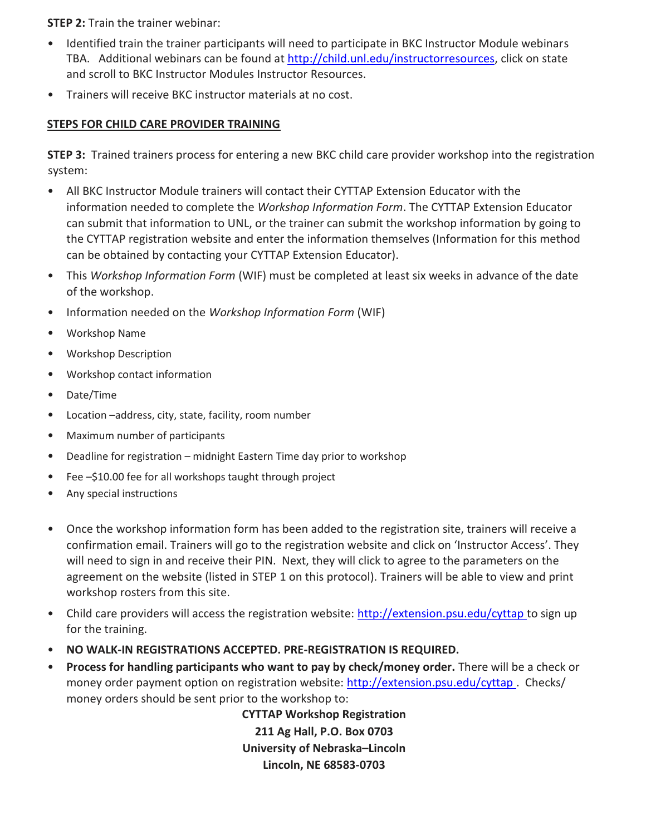**STEP 2:** Train the trainer webinar:

- Identified train the trainer participants will need to participate in BKC Instructor Module webinars TBA. Additional webinars can be found [at http://child.unl.edu/instructorresources,](http://child.unl.edu/instructor-resources) click on state and scroll to BKC Instructor Modules Instructor Resources.
- Trainers will receive BKC instructor materials at no cost.

# **STEPS FOR CHILD CARE PROVIDER TRAINING**

**STEP 3:** Trained trainers process for entering a new BKC child care provider workshop into the registration system:

- All BKC Instructor Module trainers will contact their CYTTAP Extension Educator with the information needed to complete the *Workshop Information Form*. The CYTTAP Extension Educator can submit that information to UNL, or the trainer can submit the workshop information by going to the CYTTAP registration website and enter the information themselves (Information for this method can be obtained by contacting your CYTTAP Extension Educator).
- This *Workshop Information Form* (WIF) must be completed at least six weeks in advance of the date of the workshop.
- Information needed on the *Workshop Information Form* (WIF)
- Workshop Name
- Workshop Description
- Workshop contact information
- Date/Time
- Location –address, city, state, facility, room number
- Maximum number of participants
- Deadline for registration midnight Eastern Time day prior to workshop
- Fee –\$10.00 fee for all workshops taught through project
- Any special instructions
- Once the workshop information form has been added to the registration site, trainers will receive a confirmation email. Trainers will go to the registration website and click on 'Instructor Access'. They will need to sign in and receive their PIN. Next, they will click to agree to the parameters on the agreement on the website (listed in STEP 1 on this protocol). Trainers will be able to view and print workshop rosters from this site.
- Child care providers will access the registration website: [http://extension.psu.edu/cyttap to](http://extension.psu.edu/cyttap) sign up for the training.
- **NO WALK‐IN REGISTRATIONS ACCEPTED. PRE‐REGISTRATION IS REQUIRED.**
- **Process for handling participants who want to pay by check/money order.** There will be a check or money order payment option on registration website: http://extension.psu.edu/cyttap. Checks/ money orders should be sent prior to the workshop to:

**CYTTAP Workshop Registration 211 Ag Hall, P.O. Box 0703 University of Nebraska–Lincoln Lincoln, NE 68583‐0703**